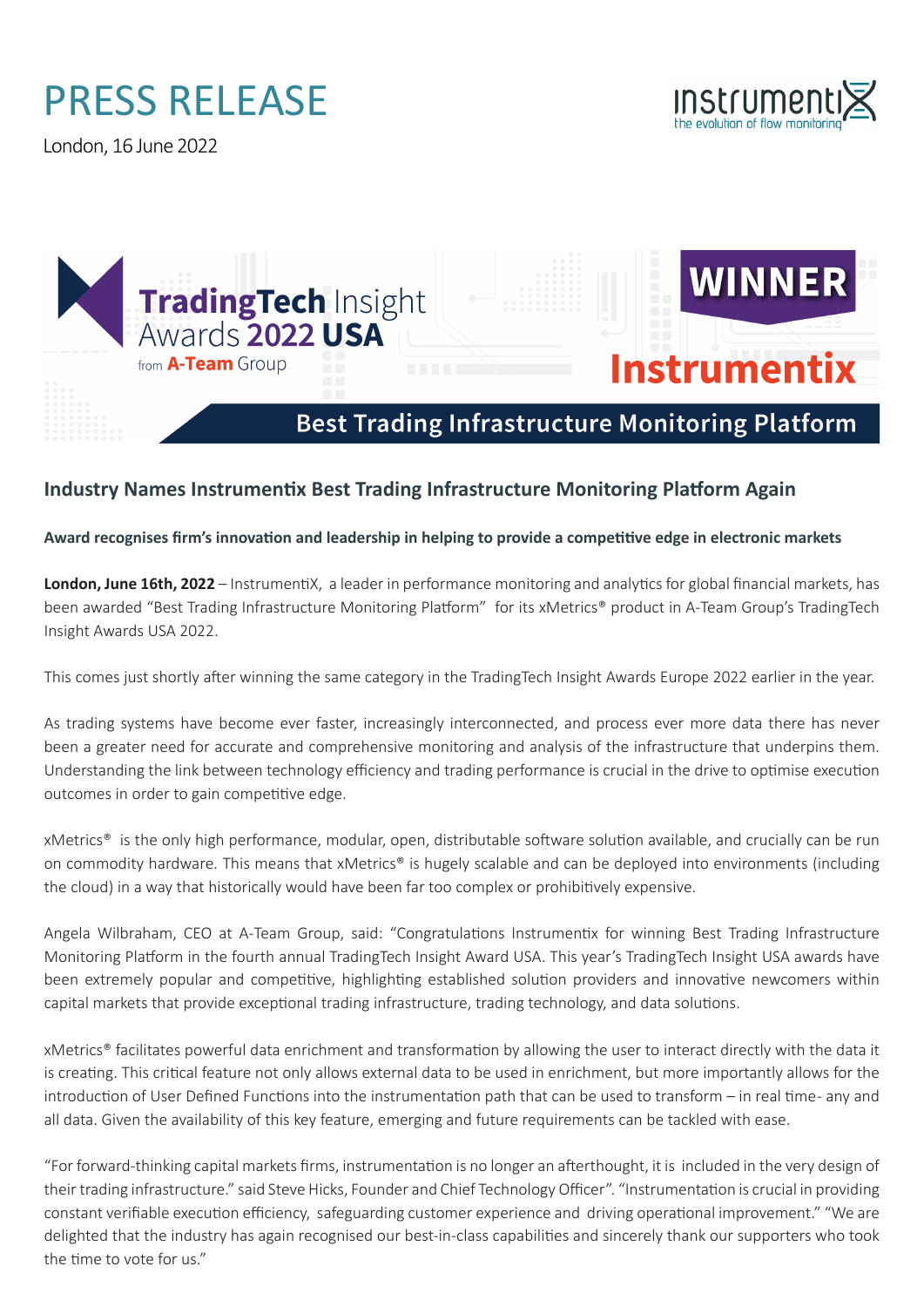## PRESS RELEASE

London, 16 June 2022



**WINNER** 

**Instrumentix** 



## **Best Trading Infrastructure Monitoring Platform**

## **Industry Names Instrumentix Best Trading Infrastructure Monitoring Platform Again**

**Award recognises firm's innovation and leadership in helping to provide a competitive edge in electronic markets**

**London, June 16th, 2022** – InstrumentiX, a leader in performance monitoring and analytics for global financial markets, has been awarded "Best Trading Infrastructure Monitoring Platform" for its xMetrics® product in A-Team Group's TradingTech Insight Awards USA 2022.

This comes just shortly after winning the same category in the TradingTech Insight Awards Europe 2022 earlier in the year.

As trading systems have become ever faster, increasingly interconnected, and process ever more data there has never been a greater need for accurate and comprehensive monitoring and analysis of the infrastructure that underpins them. Understanding the link between technology efficiency and trading performance is crucial in the drive to optimise execution outcomes in order to gain competitive edge.

xMetrics® is the only high performance, modular, open, distributable software solution available, and crucially can be run on commodity hardware. This means that xMetrics® is hugely scalable and can be deployed into environments (including the cloud) in a way that historically would have been far too complex or prohibitively expensive.

Angela Wilbraham, CEO at A-Team Group, said: "Congratulations Instrumentix for winning Best Trading Infrastructure Monitoring Platform in the fourth annual TradingTech Insight Award USA. This year's TradingTech Insight USA awards have been extremely popular and competitive, highlighting established solution providers and innovative newcomers within capital markets that provide exceptional trading infrastructure, trading technology, and data solutions.

xMetrics® facilitates powerful data enrichment and transformation by allowing the user to interact directly with the data it is creating. This critical feature not only allows external data to be used in enrichment, but more importantly allows for the introduction of User Defined Functions into the instrumentation path that can be used to transform – in real time- any and all data. Given the availability of this key feature, emerging and future requirements can be tackled with ease.

"For forward-thinking capital markets firms, instrumentation is no longer an afterthought, it is included in the very design of their trading infrastructure." said Steve Hicks, Founder and Chief Technology Officer". "Instrumentation is crucial in providing constant verifiable execution efficiency, safeguarding customer experience and driving operational improvement." "We are delighted that the industry has again recognised our best-in-class capabilities and sincerely thank our supporters who took the time to vote for us."